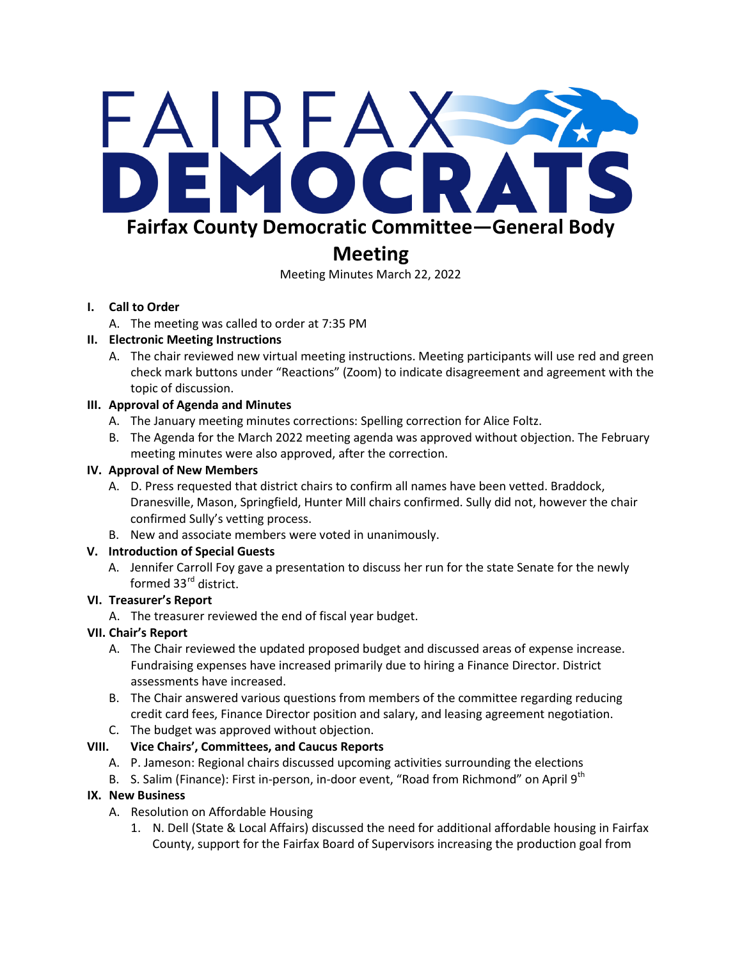# FAIRFAX EMOCR **Fairfax County Democratic Committee—General Body**

# **Meeting**

Meeting Minutes March 22, 2022

#### **I. Call to Order**

A. The meeting was called to order at 7:35 PM

#### **II. Electronic Meeting Instructions**

A. The chair reviewed new virtual meeting instructions. Meeting participants will use red and green check mark buttons under "Reactions" (Zoom) to indicate disagreement and agreement with the topic of discussion.

#### **III. Approval of Agenda and Minutes**

- A. The January meeting minutes corrections: Spelling correction for Alice Foltz.
- B. The Agenda for the March 2022 meeting agenda was approved without objection. The February meeting minutes were also approved, after the correction.

#### **IV. Approval of New Members**

- A. D. Press requested that district chairs to confirm all names have been vetted. Braddock, Dranesville, Mason, Springfield, Hunter Mill chairs confirmed. Sully did not, however the chair confirmed Sully's vetting process.
- B. New and associate members were voted in unanimously.

## **V. Introduction of Special Guests**

A. Jennifer Carroll Foy gave a presentation to discuss her run for the state Senate for the newly formed 33<sup>rd</sup> district.

## **VI. Treasurer's Report**

A. The treasurer reviewed the end of fiscal year budget.

## **VII. Chair's Report**

- A. The Chair reviewed the updated proposed budget and discussed areas of expense increase. Fundraising expenses have increased primarily due to hiring a Finance Director. District assessments have increased.
- B. The Chair answered various questions from members of the committee regarding reducing credit card fees, Finance Director position and salary, and leasing agreement negotiation.
- C. The budget was approved without objection.

## **VIII. Vice Chairs', Committees, and Caucus Reports**

- A. P. Jameson: Regional chairs discussed upcoming activities surrounding the elections
- B. S. Salim (Finance): First in-person, in-door event, "Road from Richmond" on April 9<sup>th</sup>

## **IX. New Business**

- A. Resolution on Affordable Housing
	- 1. N. Dell (State & Local Affairs) discussed the need for additional affordable housing in Fairfax County, support for the Fairfax Board of Supervisors increasing the production goal from